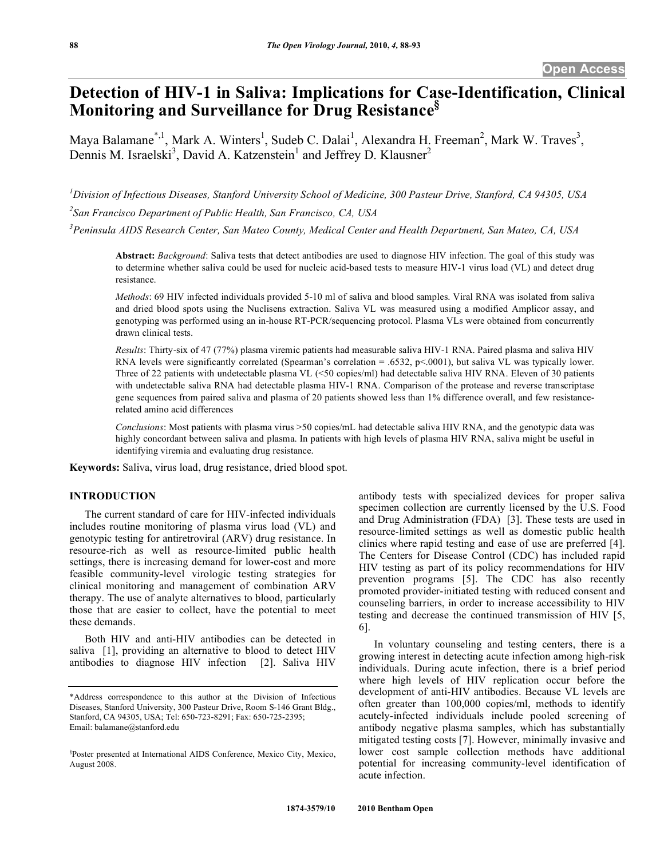# **Detection of HIV-1 in Saliva: Implications for Case-Identification, Clinical Monitoring and Surveillance for Drug Resistance§**

Maya Balamane<sup>\*, 1</sup>, Mark A. Winters<sup>1</sup>, Sudeb C. Dalai<sup>1</sup>, Alexandra H. Freeman<sup>2</sup>, Mark W. Traves<sup>3</sup>, Dennis M. Israelski<sup>3</sup>, David A. Katzenstein<sup>1</sup> and Jeffrey D. Klausner<sup>2</sup>

*1 Division of Infectious Diseases, Stanford University School of Medicine, 300 Pasteur Drive, Stanford, CA 94305, USA 2 San Francisco Department of Public Health, San Francisco, CA, USA* 

*3 Peninsula AIDS Research Center, San Mateo County, Medical Center and Health Department, San Mateo, CA, USA* 

**Abstract:** *Background*: Saliva tests that detect antibodies are used to diagnose HIV infection. The goal of this study was to determine whether saliva could be used for nucleic acid-based tests to measure HIV-1 virus load (VL) and detect drug resistance.

*Methods*: 69 HIV infected individuals provided 5-10 ml of saliva and blood samples. Viral RNA was isolated from saliva and dried blood spots using the Nuclisens extraction. Saliva VL was measured using a modified Amplicor assay, and genotyping was performed using an in-house RT-PCR/sequencing protocol. Plasma VLs were obtained from concurrently drawn clinical tests.

*Results*: Thirty-six of 47 (77%) plasma viremic patients had measurable saliva HIV-1 RNA. Paired plasma and saliva HIV RNA levels were significantly correlated (Spearman's correlation = .6532, p<.0001), but saliva VL was typically lower. Three of 22 patients with undetectable plasma VL (<50 copies/ml) had detectable saliva HIV RNA. Eleven of 30 patients with undetectable saliva RNA had detectable plasma HIV-1 RNA. Comparison of the protease and reverse transcriptase gene sequences from paired saliva and plasma of 20 patients showed less than 1% difference overall, and few resistancerelated amino acid differences

*Conclusions*: Most patients with plasma virus >50 copies/mL had detectable saliva HIV RNA, and the genotypic data was highly concordant between saliva and plasma. In patients with high levels of plasma HIV RNA, saliva might be useful in identifying viremia and evaluating drug resistance.

**Keywords:** Saliva, virus load, drug resistance, dried blood spot.

# **INTRODUCTION**

 The current standard of care for HIV-infected individuals includes routine monitoring of plasma virus load (VL) and genotypic testing for antiretroviral (ARV) drug resistance. In resource-rich as well as resource-limited public health settings, there is increasing demand for lower-cost and more feasible community-level virologic testing strategies for clinical monitoring and management of combination ARV therapy. The use of analyte alternatives to blood, particularly those that are easier to collect, have the potential to meet these demands.

 Both HIV and anti-HIV antibodies can be detected in saliva [1], providing an alternative to blood to detect HIV antibodies to diagnose HIV infection [2]. Saliva HIV antibody tests with specialized devices for proper saliva specimen collection are currently licensed by the U.S. Food and Drug Administration (FDA) [3]. These tests are used in resource-limited settings as well as domestic public health clinics where rapid testing and ease of use are preferred [4]. The Centers for Disease Control (CDC) has included rapid HIV testing as part of its policy recommendations for HIV prevention programs [5]. The CDC has also recently promoted provider-initiated testing with reduced consent and counseling barriers, in order to increase accessibility to HIV testing and decrease the continued transmission of HIV [5, 6].

 In voluntary counseling and testing centers, there is a growing interest in detecting acute infection among high-risk individuals. During acute infection, there is a brief period where high levels of HIV replication occur before the development of anti-HIV antibodies. Because VL levels are often greater than 100,000 copies/ml, methods to identify acutely-infected individuals include pooled screening of antibody negative plasma samples, which has substantially mitigated testing costs [7]. However, minimally invasive and lower cost sample collection methods have additional potential for increasing community-level identification of acute infection.

<sup>\*</sup>Address correspondence to this author at the Division of Infectious Diseases, Stanford University, 300 Pasteur Drive, Room S-146 Grant Bldg., Stanford, CA 94305, USA; Tel: 650-723-8291; Fax: 650-725-2395; Email: balamane@stanford.edu

<sup>§</sup> Poster presented at International AIDS Conference, Mexico City, Mexico, August 2008.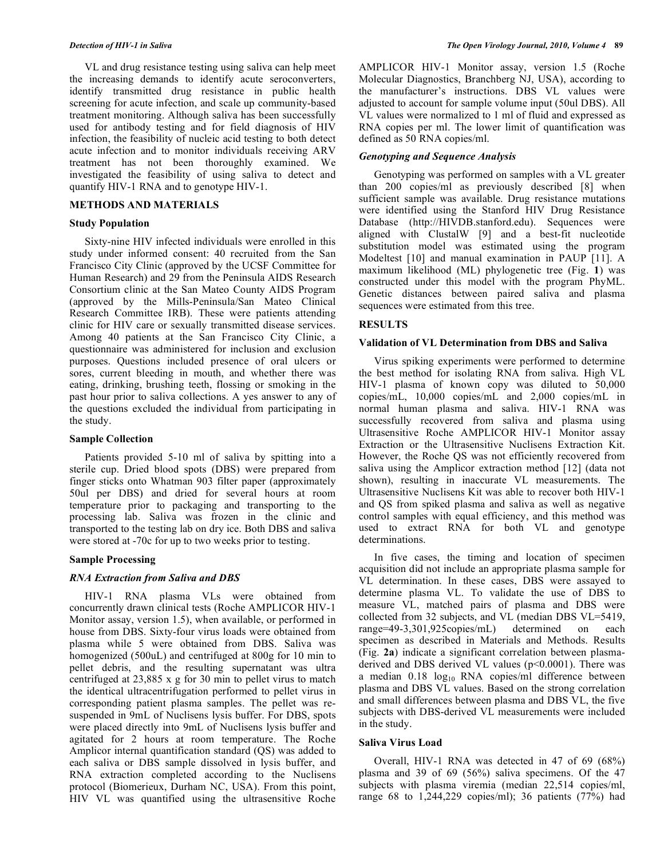VL and drug resistance testing using saliva can help meet the increasing demands to identify acute seroconverters, identify transmitted drug resistance in public health screening for acute infection, and scale up community-based treatment monitoring. Although saliva has been successfully used for antibody testing and for field diagnosis of HIV infection, the feasibility of nucleic acid testing to both detect acute infection and to monitor individuals receiving ARV treatment has not been thoroughly examined. We investigated the feasibility of using saliva to detect and quantify HIV-1 RNA and to genotype HIV-1.

### **METHODS AND MATERIALS**

### **Study Population**

 Sixty-nine HIV infected individuals were enrolled in this study under informed consent: 40 recruited from the San Francisco City Clinic (approved by the UCSF Committee for Human Research) and 29 from the Peninsula AIDS Research Consortium clinic at the San Mateo County AIDS Program (approved by the Mills-Peninsula/San Mateo Clinical Research Committee IRB). These were patients attending clinic for HIV care or sexually transmitted disease services. Among 40 patients at the San Francisco City Clinic, a questionnaire was administered for inclusion and exclusion purposes. Questions included presence of oral ulcers or sores, current bleeding in mouth, and whether there was eating, drinking, brushing teeth, flossing or smoking in the past hour prior to saliva collections. A yes answer to any of the questions excluded the individual from participating in the study.

## **Sample Collection**

 Patients provided 5-10 ml of saliva by spitting into a sterile cup. Dried blood spots (DBS) were prepared from finger sticks onto Whatman 903 filter paper (approximately 50ul per DBS) and dried for several hours at room temperature prior to packaging and transporting to the processing lab. Saliva was frozen in the clinic and transported to the testing lab on dry ice. Both DBS and saliva were stored at -70c for up to two weeks prior to testing.

## **Sample Processing**

## *RNA Extraction from Saliva and DBS*

 HIV-1 RNA plasma VLs were obtained from concurrently drawn clinical tests (Roche AMPLICOR HIV-1 Monitor assay, version 1.5), when available, or performed in house from DBS. Sixty-four virus loads were obtained from plasma while 5 were obtained from DBS. Saliva was homogenized (500uL) and centrifuged at 800g for 10 min to pellet debris, and the resulting supernatant was ultra centrifuged at 23,885 x g for 30 min to pellet virus to match the identical ultracentrifugation performed to pellet virus in corresponding patient plasma samples. The pellet was resuspended in 9mL of Nuclisens lysis buffer. For DBS, spots were placed directly into 9mL of Nuclisens lysis buffer and agitated for 2 hours at room temperature. The Roche Amplicor internal quantification standard (QS) was added to each saliva or DBS sample dissolved in lysis buffer, and RNA extraction completed according to the Nuclisens protocol (Biomerieux, Durham NC, USA). From this point, HIV VL was quantified using the ultrasensitive Roche

AMPLICOR HIV-1 Monitor assay, version 1.5 (Roche Molecular Diagnostics, Branchberg NJ, USA), according to the manufacturer's instructions. DBS VL values were adjusted to account for sample volume input (50ul DBS). All VL values were normalized to 1 ml of fluid and expressed as RNA copies per ml. The lower limit of quantification was defined as 50 RNA copies/ml.

# *Genotyping and Sequence Analysis*

 Genotyping was performed on samples with a VL greater than 200 copies/ml as previously described [8] when sufficient sample was available. Drug resistance mutations were identified using the Stanford HIV Drug Resistance Database (http://HIVDB.stanford.edu). Sequences were aligned with ClustalW [9] and a best-fit nucleotide substitution model was estimated using the program Modeltest [10] and manual examination in PAUP [11]. A maximum likelihood (ML) phylogenetic tree (Fig. **1**) was constructed under this model with the program PhyML. Genetic distances between paired saliva and plasma sequences were estimated from this tree.

## **RESULTS**

#### **Validation of VL Determination from DBS and Saliva**

 Virus spiking experiments were performed to determine the best method for isolating RNA from saliva. High VL HIV-1 plasma of known copy was diluted to 50,000 copies/mL, 10,000 copies/mL and 2,000 copies/mL in normal human plasma and saliva. HIV-1 RNA was successfully recovered from saliva and plasma using Ultrasensitive Roche AMPLICOR HIV-1 Monitor assay Extraction or the Ultrasensitive Nuclisens Extraction Kit. However, the Roche QS was not efficiently recovered from saliva using the Amplicor extraction method [12] (data not shown), resulting in inaccurate VL measurements. The Ultrasensitive Nuclisens Kit was able to recover both HIV-1 and QS from spiked plasma and saliva as well as negative control samples with equal efficiency, and this method was used to extract RNA for both VL and genotype determinations.

 In five cases, the timing and location of specimen acquisition did not include an appropriate plasma sample for VL determination. In these cases, DBS were assayed to determine plasma VL. To validate the use of DBS to measure VL, matched pairs of plasma and DBS were collected from 32 subjects, and VL (median DBS VL=5419, range=49-3,301,925copies/mL) determined on each specimen as described in Materials and Methods. Results (Fig. **2a**) indicate a significant correlation between plasmaderived and DBS derived VL values (p<0.0001). There was a median  $0.18 \log_{10}$  RNA copies/ml difference between plasma and DBS VL values. Based on the strong correlation and small differences between plasma and DBS VL, the five subjects with DBS-derived VL measurements were included in the study.

#### **Saliva Virus Load**

 Overall, HIV-1 RNA was detected in 47 of 69 (68%) plasma and 39 of 69 (56%) saliva specimens. Of the 47 subjects with plasma viremia (median 22,514 copies/ml, range 68 to 1,244,229 copies/ml); 36 patients (77%) had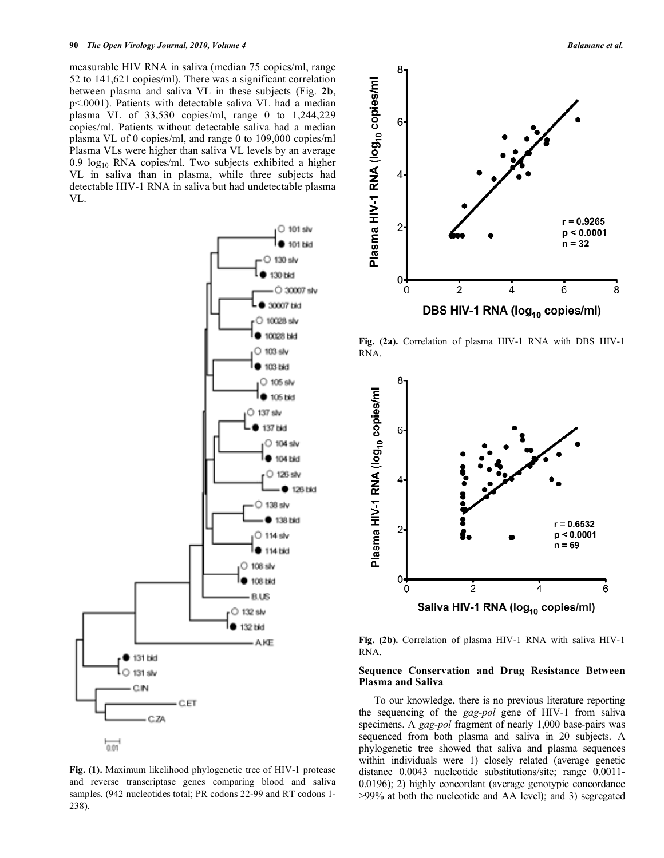measurable HIV RNA in saliva (median 75 copies/ml, range 52 to 141,621 copies/ml). There was a significant correlation between plasma and saliva VL in these subjects (Fig. **2b**, p<.0001). Patients with detectable saliva VL had a median plasma VL of 33,530 copies/ml, range 0 to 1,244,229 copies/ml. Patients without detectable saliva had a median plasma VL of 0 copies/ml, and range 0 to 109,000 copies/ml Plasma VLs were higher than saliva VL levels by an average 0.9  $log_{10}$  RNA copies/ml. Two subjects exhibited a higher VL in saliva than in plasma, while three subjects had detectable HIV-1 RNA in saliva but had undetectable plasma VL.



**Fig. (1).** Maximum likelihood phylogenetic tree of HIV-1 protease and reverse transcriptase genes comparing blood and saliva samples. (942 nucleotides total; PR codons 22-99 and RT codons 1- 238).





**Fig. (2a).** Correlation of plasma HIV-1 RNA with DBS HIV-1 RNA.



**Fig. (2b).** Correlation of plasma HIV-1 RNA with saliva HIV-1 RNA.

## **Sequence Conservation and Drug Resistance Between Plasma and Saliva**

 To our knowledge, there is no previous literature reporting the sequencing of the *gag-pol* gene of HIV-1 from saliva specimens. A *gag-pol* fragment of nearly 1,000 base-pairs was sequenced from both plasma and saliva in 20 subjects. A phylogenetic tree showed that saliva and plasma sequences within individuals were 1) closely related (average genetic distance 0.0043 nucleotide substitutions/site; range 0.0011- 0.0196); 2) highly concordant (average genotypic concordance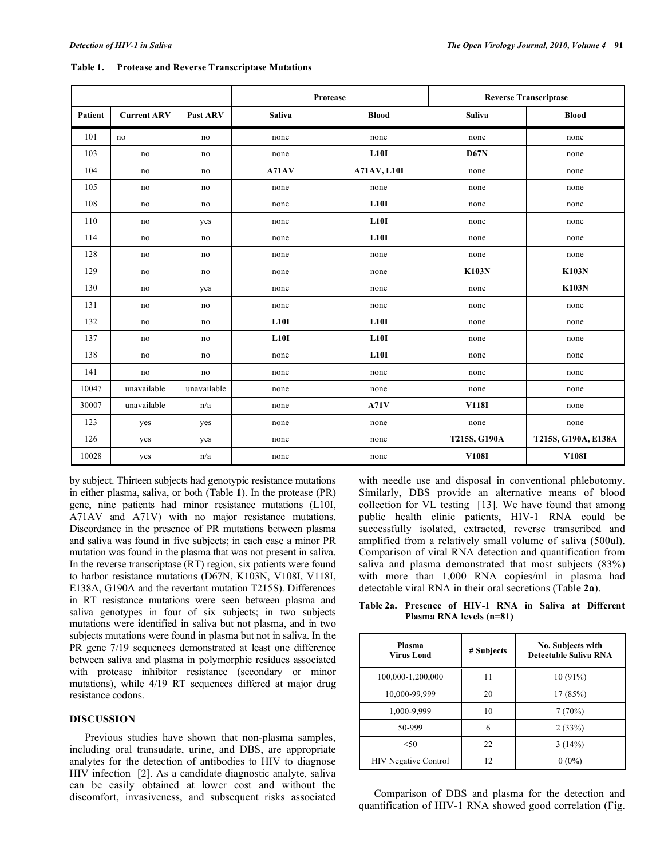|         |                    |             | Protease      |                    | <b>Reverse Transcriptase</b> |                     |
|---------|--------------------|-------------|---------------|--------------------|------------------------------|---------------------|
| Patient | <b>Current ARV</b> | Past ARV    | <b>Saliva</b> | <b>Blood</b>       | Saliva                       | <b>Blood</b>        |
| 101     | no                 | no          | none          | none               | none                         | none                |
| 103     | no                 | no          | none          | L10I               | D67N                         | none                |
| 104     | no                 | no          | A71AV         | <b>A71AV, L10I</b> | none                         | none                |
| 105     | no                 | no          | none          | none               | none                         | none                |
| 108     | no                 | no          | none          | L10I               | none                         | none                |
| 110     | no                 | yes         | none          | L10I               | none                         | none                |
| 114     | no                 | no          | none          | L10I               | none                         | none                |
| 128     | no                 | no          | none          | none               | none                         | none                |
| 129     | no                 | no          | none          | none               | <b>K103N</b>                 | <b>K103N</b>        |
| 130     | no                 | yes         | none          | none               | none                         | <b>K103N</b>        |
| 131     | no                 | no          | none          | none               | none                         | none                |
| 132     | no                 | no          | L10I          | L10I               | none                         | none                |
| 137     | no                 | no          | L10I          | L10I               | none                         | none                |
| 138     | no                 | no          | none          | L10I               | none                         | none                |
| 141     | no                 | no          | none          | none               | none                         | none                |
| 10047   | unavailable        | unavailable | none          | none               | none                         | none                |
| 30007   | unavailable        | n/a         | none          | A71V               | V118I                        | none                |
| 123     | yes                | yes         | none          | none               | none                         | none                |
| 126     | yes                | yes         | none          | none               | T215S, G190A                 | T215S, G190A, E138A |
| 10028   | yes                | n/a         | none          | none               | V108I                        | V108I               |

**Table 1. Protease and Reverse Transcriptase Mutations** 

by subject. Thirteen subjects had genotypic resistance mutations in either plasma, saliva, or both (Table **1**). In the protease (PR) gene, nine patients had minor resistance mutations (L10I, A71AV and A71V) with no major resistance mutations. Discordance in the presence of PR mutations between plasma and saliva was found in five subjects; in each case a minor PR mutation was found in the plasma that was not present in saliva. In the reverse transcriptase (RT) region, six patients were found to harbor resistance mutations (D67N, K103N, V108I, V118I, E138A, G190A and the revertant mutation T215S). Differences in RT resistance mutations were seen between plasma and saliva genotypes in four of six subjects; in two subjects mutations were identified in saliva but not plasma, and in two subjects mutations were found in plasma but not in saliva. In the PR gene 7/19 sequences demonstrated at least one difference between saliva and plasma in polymorphic residues associated with protease inhibitor resistance (secondary or minor mutations), while 4/19 RT sequences differed at major drug resistance codons.

# **DISCUSSION**

 Previous studies have shown that non-plasma samples, including oral transudate, urine, and DBS, are appropriate analytes for the detection of antibodies to HIV to diagnose HIV infection [2]. As a candidate diagnostic analyte, saliva can be easily obtained at lower cost and without the discomfort, invasiveness, and subsequent risks associated

with needle use and disposal in conventional phlebotomy. Similarly, DBS provide an alternative means of blood collection for VL testing [13]. We have found that among public health clinic patients, HIV-1 RNA could be successfully isolated, extracted, reverse transcribed and amplified from a relatively small volume of saliva (500ul). Comparison of viral RNA detection and quantification from saliva and plasma demonstrated that most subjects (83%) with more than 1,000 RNA copies/ml in plasma had detectable viral RNA in their oral secretions (Table **2a**).

**Table 2a. Presence of HIV-1 RNA in Saliva at Different Plasma RNA levels (n=81)** 

| Plasma<br>Virus Load        | # Subjects | No. Subjects with<br><b>Detectable Saliva RNA</b> |
|-----------------------------|------------|---------------------------------------------------|
| 100,000-1,200,000           | 11         | 10(91%)                                           |
| 10,000-99,999               | 20         | 17(85%)                                           |
| 1,000-9,999                 | 10         | 7(70%)                                            |
| 50-999                      | 6          | 2(33%)                                            |
| < 50                        | 22         | 3(14%)                                            |
| <b>HIV Negative Control</b> | 12         | $0(0\%)$                                          |

 Comparison of DBS and plasma for the detection and quantification of HIV-1 RNA showed good correlation (Fig.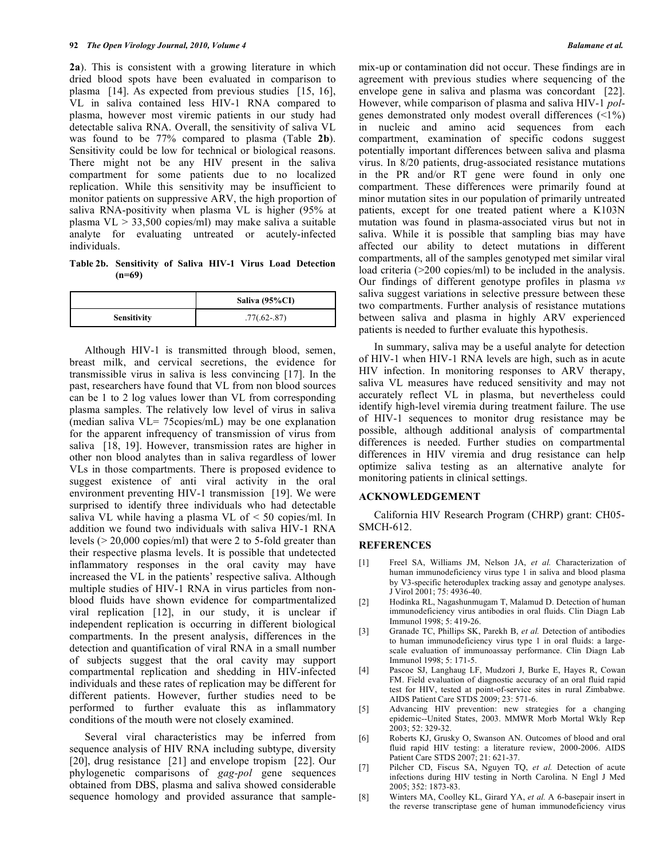**2a**). This is consistent with a growing literature in which dried blood spots have been evaluated in comparison to plasma [14]. As expected from previous studies [15, 16], VL in saliva contained less HIV-1 RNA compared to plasma, however most viremic patients in our study had detectable saliva RNA. Overall, the sensitivity of saliva VL was found to be 77% compared to plasma (Table **2b**). Sensitivity could be low for technical or biological reasons. There might not be any HIV present in the saliva compartment for some patients due to no localized replication. While this sensitivity may be insufficient to monitor patients on suppressive ARV, the high proportion of saliva RNA-positivity when plasma VL is higher (95% at plasma VL > 33,500 copies/ml) may make saliva a suitable analyte for evaluating untreated or acutely-infected individuals.

**Table 2b. Sensitivity of Saliva HIV-1 Virus Load Detection (n=69)** 

|                    | Saliva (95%CI) |
|--------------------|----------------|
| <b>Sensitivity</b> | $.77(.62-.87)$ |

 Although HIV-1 is transmitted through blood, semen, breast milk, and cervical secretions, the evidence for transmissible virus in saliva is less convincing [17]. In the past, researchers have found that VL from non blood sources can be 1 to 2 log values lower than VL from corresponding plasma samples. The relatively low level of virus in saliva (median saliva VL= 75copies/mL) may be one explanation for the apparent infrequency of transmission of virus from saliva [18, 19]. However, transmission rates are higher in other non blood analytes than in saliva regardless of lower VLs in those compartments. There is proposed evidence to suggest existence of anti viral activity in the oral environment preventing HIV-1 transmission [19]. We were surprised to identify three individuals who had detectable saliva VL while having a plasma VL of < 50 copies/ml. In addition we found two individuals with saliva HIV-1 RNA levels (> 20,000 copies/ml) that were 2 to 5-fold greater than their respective plasma levels. It is possible that undetected inflammatory responses in the oral cavity may have increased the VL in the patients' respective saliva. Although multiple studies of HIV-1 RNA in virus particles from nonblood fluids have shown evidence for compartmentalized viral replication [12], in our study, it is unclear if independent replication is occurring in different biological compartments. In the present analysis, differences in the detection and quantification of viral RNA in a small number of subjects suggest that the oral cavity may support compartmental replication and shedding in HIV-infected individuals and these rates of replication may be different for different patients. However, further studies need to be performed to further evaluate this as inflammatory conditions of the mouth were not closely examined.

 Several viral characteristics may be inferred from sequence analysis of HIV RNA including subtype, diversity [20], drug resistance [21] and envelope tropism [22]. Our phylogenetic comparisons of *gag-pol* gene sequences obtained from DBS, plasma and saliva showed considerable sequence homology and provided assurance that samplemix-up or contamination did not occur. These findings are in agreement with previous studies where sequencing of the envelope gene in saliva and plasma was concordant [22]. However, while comparison of plasma and saliva HIV-1 *pol*genes demonstrated only modest overall differences (<1%) in nucleic and amino acid sequences from each compartment, examination of specific codons suggest potentially important differences between saliva and plasma virus. In 8/20 patients, drug-associated resistance mutations in the PR and/or RT gene were found in only one compartment. These differences were primarily found at minor mutation sites in our population of primarily untreated patients, except for one treated patient where a K103N mutation was found in plasma-associated virus but not in saliva. While it is possible that sampling bias may have affected our ability to detect mutations in different compartments, all of the samples genotyped met similar viral load criteria ( $>200$  copies/ml) to be included in the analysis. Our findings of different genotype profiles in plasma *vs* saliva suggest variations in selective pressure between these two compartments. Further analysis of resistance mutations between saliva and plasma in highly ARV experienced patients is needed to further evaluate this hypothesis.

 In summary, saliva may be a useful analyte for detection of HIV-1 when HIV-1 RNA levels are high, such as in acute HIV infection. In monitoring responses to ARV therapy, saliva VL measures have reduced sensitivity and may not accurately reflect VL in plasma, but nevertheless could identify high-level viremia during treatment failure. The use of HIV-1 sequences to monitor drug resistance may be possible, although additional analysis of compartmental differences is needed. Further studies on compartmental differences in HIV viremia and drug resistance can help optimize saliva testing as an alternative analyte for monitoring patients in clinical settings.

#### **ACKNOWLEDGEMENT**

 California HIV Research Program (CHRP) grant: CH05- SMCH-612.

#### **REFERENCES**

- [1] Freel SA, Williams JM, Nelson JA, *et al.* Characterization of human immunodeficiency virus type 1 in saliva and blood plasma by V3-specific heteroduplex tracking assay and genotype analyses. J Virol 2001; 75: 4936-40.
- [2] Hodinka RL, Nagashunmugam T, Malamud D. Detection of human immunodeficiency virus antibodies in oral fluids. Clin Diagn Lab Immunol 1998; 5: 419-26.
- [3] Granade TC, Phillips SK, Parekh B, *et al.* Detection of antibodies to human immunodeficiency virus type 1 in oral fluids: a largescale evaluation of immunoassay performance. Clin Diagn Lab Immunol 1998; 5: 171-5.
- [4] Pascoe SJ, Langhaug LF, Mudzori J, Burke E, Hayes R, Cowan FM. Field evaluation of diagnostic accuracy of an oral fluid rapid test for HIV, tested at point-of-service sites in rural Zimbabwe. AIDS Patient Care STDS 2009; 23: 571-6.
- [5] Advancing HIV prevention: new strategies for a changing epidemic--United States, 2003. MMWR Morb Mortal Wkly Rep 2003; 52: 329-32.
- [6] Roberts KJ, Grusky O, Swanson AN. Outcomes of blood and oral fluid rapid HIV testing: a literature review, 2000-2006. AIDS Patient Care STDS 2007; 21: 621-37.
- [7] Pilcher CD, Fiscus SA, Nguyen TQ, *et al.* Detection of acute infections during HIV testing in North Carolina. N Engl J Med 2005; 352: 1873-83.
- [8] Winters MA, Coolley KL, Girard YA, *et al.* A 6-basepair insert in the reverse transcriptase gene of human immunodeficiency virus